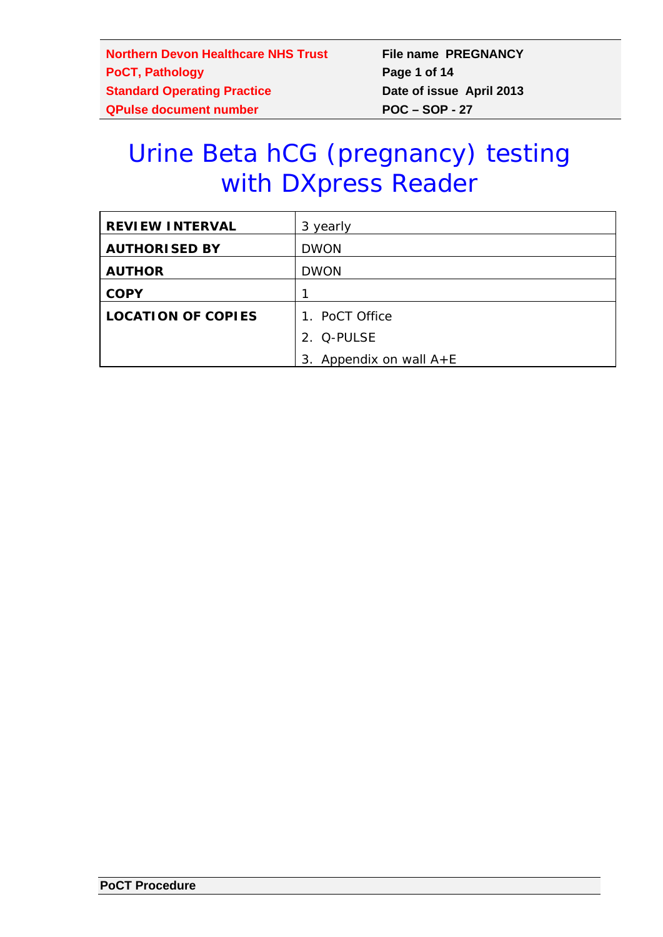# Urine Beta hCG (pregnancy) testing with DXpress Reader

| <b>REVIEW INTERVAL</b>    | 3 yearly                  |
|---------------------------|---------------------------|
| <b>AUTHORISED BY</b>      | <b>DWON</b>               |
| <b>AUTHOR</b>             | <b>DWON</b>               |
| <b>COPY</b>               |                           |
| <b>LOCATION OF COPIES</b> | 1. PoCT Office            |
|                           | 2. Q-PULSE                |
|                           | 3. Appendix on wall $A+E$ |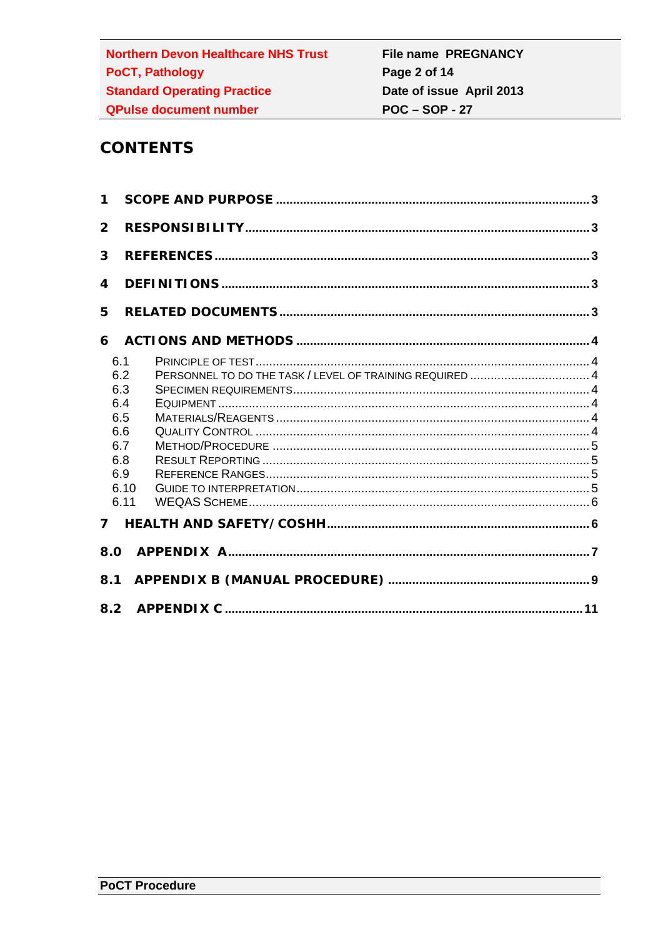# **CONTENTS**

| $\mathbf 1$                                                 |              |  |
|-------------------------------------------------------------|--------------|--|
| $\overline{2}$                                              |              |  |
| 3                                                           |              |  |
| 4                                                           |              |  |
| 5                                                           |              |  |
| 6                                                           |              |  |
| 6.1<br>6.2<br>6.3<br>6.4<br>6.5<br>6.6<br>6.7<br>6.8<br>6.9 | 6.10<br>6.11 |  |
| 7                                                           |              |  |
| 8.0                                                         |              |  |
| 8.1                                                         |              |  |
| 8.2                                                         |              |  |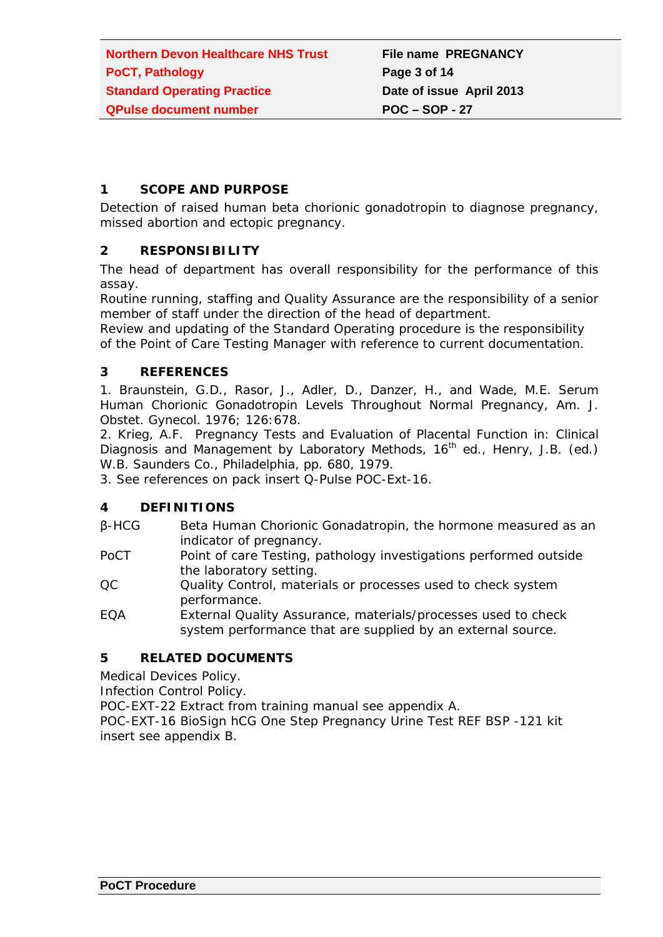## **1 SCOPE AND PURPOSE**

Detection of raised human beta chorionic gonadotropin to diagnose pregnancy, missed abortion and ectopic pregnancy.

## **2 RESPONSIBILITY**

The head of department has overall responsibility for the performance of this assay.

Routine running, staffing and Quality Assurance are the responsibility of a senior member of staff under the direction of the head of department.

Review and updating of the Standard Operating procedure is the responsibility of the Point of Care Testing Manager with reference to current documentation.

## **3 REFERENCES**

1. Braunstein, G.D., Rasor, J., Adler, D., Danzer, H., and Wade, M.E. Serum Human Chorionic Gonadotropin Levels Throughout Normal Pregnancy, Am. J. Obstet. Gynecol. 1976; 126:678.

2. Krieg, A.F. Pregnancy Tests and Evaluation of Placental Function in: Clinical Diagnosis and Management by Laboratory Methods, 16<sup>th</sup> ed., Henry, J.B. (ed.) W.B. Saunders Co., Philadelphia, pp. 680, 1979.

3. See references on pack insert Q-Pulse POC-Ext-16.

### **4 DEFINITIONS**

- β-HCG Beta Human Chorionic Gonadatropin, the hormone measured as an indicator of pregnancy.
- PoCT Point of care Testing, pathology investigations performed outside the laboratory setting.
- QC Quality Control, materials or processes used to check system performance.
- EQA External Quality Assurance, materials/processes used to check system performance that are supplied by an external source.

# **5 RELATED DOCUMENTS**

Medical Devices Policy.

Infection Control Policy.

POC-EXT-22 Extract from training manual see appendix A.

POC-EXT-16 BioSign hCG One Step Pregnancy Urine Test REF BSP -121 kit insert see appendix B.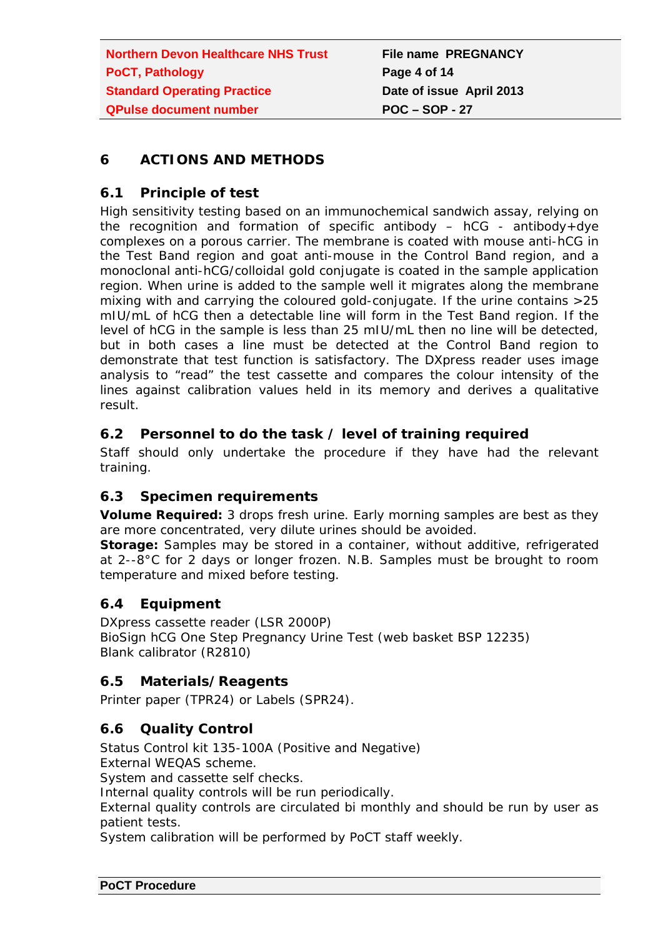# **6 ACTIONS AND METHODS**

# **6.1 Principle of test**

High sensitivity testing based on an immunochemical sandwich assay, relying on the recognition and formation of specific antibody  $-$  hCG - antibody+dye complexes on a porous carrier. The membrane is coated with mouse anti-hCG in the Test Band region and goat anti-mouse in the Control Band region, and a monoclonal anti-hCG/colloidal gold conjugate is coated in the sample application region. When urine is added to the sample well it migrates along the membrane mixing with and carrying the coloured gold-conjugate. If the urine contains >25 mIU/mL of hCG then a detectable line will form in the Test Band region. If the level of hCG in the sample is less than 25 mIU/mL then no line will be detected, but in both cases a line must be detected at the Control Band region to demonstrate that test function is satisfactory. The DXpress reader uses image analysis to "read" the test cassette and compares the colour intensity of the lines against calibration values held in its memory and derives a qualitative result.

# **6.2 Personnel to do the task / level of training required**

Staff should only undertake the procedure if they have had the relevant training.

# **6.3 Specimen requirements**

**Volume Required:** 3 drops fresh urine. Early morning samples are best as they are more concentrated, very dilute urines should be avoided.

**Storage:** Samples may be stored in a container, without additive, refrigerated at 2--8°C for 2 days or longer frozen. N.B. Samples must be brought to room temperature and mixed before testing.

# **6.4 Equipment**

DXpress cassette reader (LSR 2000P) BioSign hCG One Step Pregnancy Urine Test (web basket BSP 12235) Blank calibrator (R2810)

# **6.5 Materials/Reagents**

Printer paper (TPR24) or Labels (SPR24).

# **6.6 Quality Control**

Status Control kit 135-100A (Positive and Negative)

External WEQAS scheme.

System and cassette self checks.

Internal quality controls will be run periodically.

External quality controls are circulated bi monthly and should be run by user as patient tests.

System calibration will be performed by PoCT staff weekly.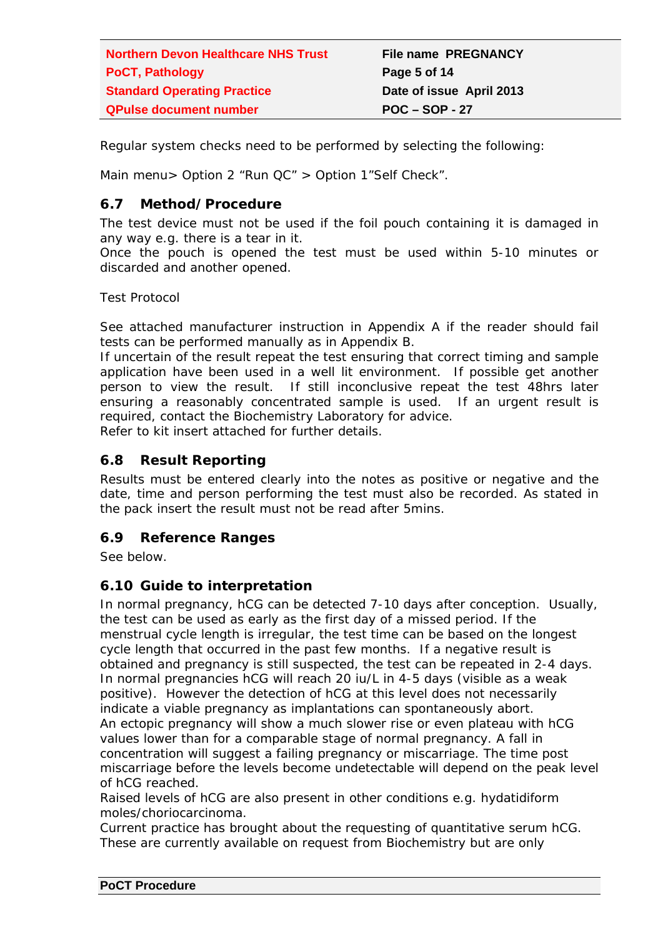| <b>Northern Devon Healthcare NHS Trust</b> | <b>File name PREGNANCY</b> |
|--------------------------------------------|----------------------------|
| <b>PoCT, Pathology</b>                     | Page 5 of 14               |
| <b>Standard Operating Practice</b>         | Date of issue April 2013   |
| <b>QPulse document number</b>              | $POC - SOP - 27$           |

Regular system checks need to be performed by selecting the following:

Main menu> Option 2 "Run QC" > Option 1"Self Check".

# **6.7 Method/Procedure**

The test device must not be used if the foil pouch containing it is damaged in any way e.g. there is a tear in it.

Once the pouch is opened the test must be used within 5-10 minutes or discarded and another opened.

Test Protocol

See attached manufacturer instruction in Appendix A if the reader should fail tests can be performed manually as in Appendix B.

If uncertain of the result repeat the test ensuring that correct timing and sample application have been used in a well lit environment. If possible get another person to view the result. If still inconclusive repeat the test 48hrs later ensuring a reasonably concentrated sample is used. If an urgent result is required, contact the Biochemistry Laboratory for advice.

Refer to kit insert attached for further details.

# **6.8 Result Reporting**

Results must be entered clearly into the notes as positive or negative and the date, time and person performing the test must also be recorded. As stated in the pack insert the result must not be read after 5mins.

# **6.9 Reference Ranges**

See below.

# **6.10 Guide to interpretation**

In normal pregnancy, hCG can be detected 7-10 days after conception. Usually, the test can be used as early as the first day of a missed period. If the menstrual cycle length is irregular, the test time can be based on the longest cycle length that occurred in the past few months. If a negative result is obtained and pregnancy is still suspected, the test can be repeated in 2-4 days. In normal pregnancies hCG will reach 20 iu/L in 4-5 days (visible as a weak positive). However the detection of hCG at this level does not necessarily indicate a viable pregnancy as implantations can spontaneously abort. An ectopic pregnancy will show a much slower rise or even plateau with hCG values lower than for a comparable stage of normal pregnancy. A fall in concentration will suggest a failing pregnancy or miscarriage. The time post miscarriage before the levels become undetectable will depend on the peak level of hCG reached.

Raised levels of hCG are also present in other conditions e.g. hydatidiform moles/choriocarcinoma.

Current practice has brought about the requesting of quantitative serum hCG. These are currently available on request from Biochemistry but are only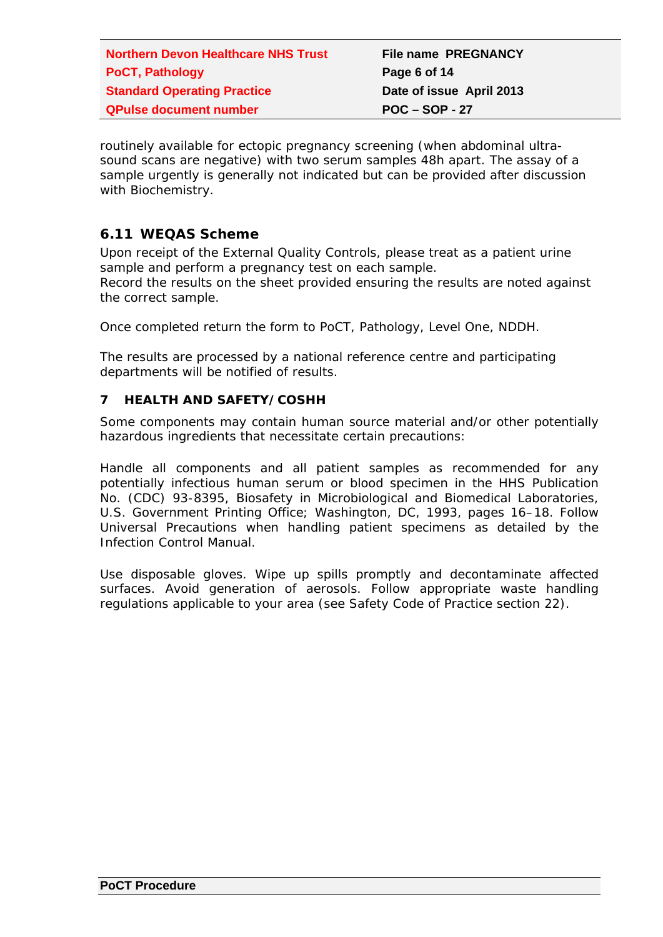| <b>Northern Devon Healthcare NHS Trust</b> | <b>File name PREGNANCY</b> |
|--------------------------------------------|----------------------------|
| <b>PoCT, Pathology</b>                     | Page 6 of 14               |
| <b>Standard Operating Practice</b>         | Date of issue April 2013   |
| <b>QPulse document number</b>              | $POC - SOP - 27$           |

routinely available for ectopic pregnancy screening (when abdominal ultrasound scans are negative) with two serum samples 48h apart. The assay of a sample urgently is generally not indicated but can be provided after discussion with Biochemistry.

## **6.11 WEQAS Scheme**

Upon receipt of the External Quality Controls, please treat as a patient urine sample and perform a pregnancy test on each sample.

Record the results on the sheet provided ensuring the results are noted against the correct sample.

Once completed return the form to PoCT, Pathology, Level One, NDDH.

The results are processed by a national reference centre and participating departments will be notified of results.

### **7 HEALTH AND SAFETY/COSHH**

Some components may contain human source material and/or other potentially hazardous ingredients that necessitate certain precautions:

Handle all components and all patient samples as recommended for any potentially infectious human serum or blood specimen in the HHS Publication No. (CDC) 93-8395, *Biosafety* in Microbiological and Biomedical Laboratories, U.S. Government Printing Office; Washington, DC, 1993, pages 16–18. Follow Universal Precautions when handling patient specimens as detailed by the Infection Control Manual.

Use disposable gloves. Wipe up spills promptly and decontaminate affected surfaces. Avoid generation of aerosols. Follow appropriate waste handling regulations applicable to your area (see Safety Code of Practice section 22).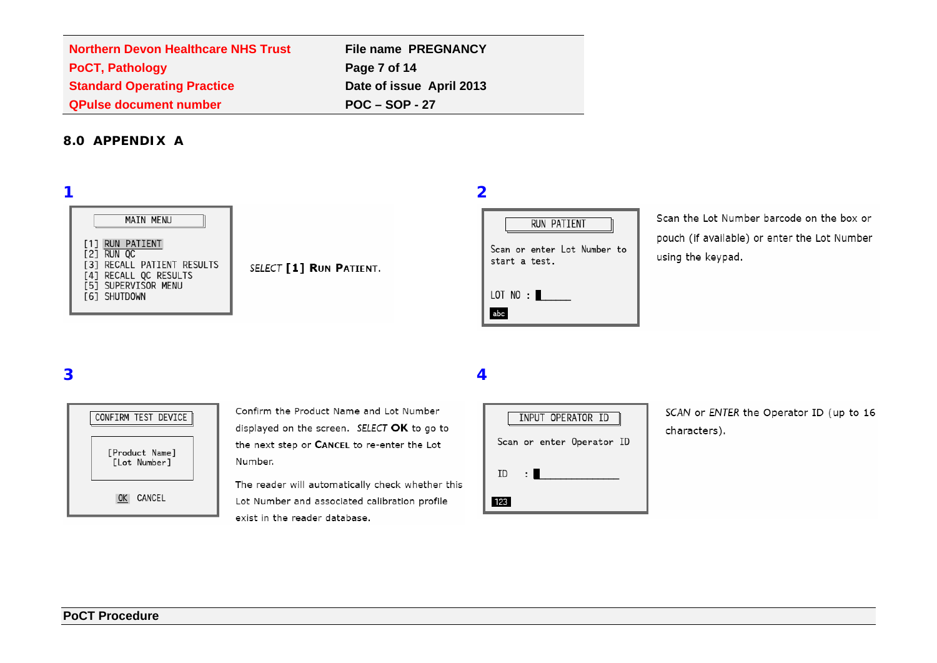| <b>Northern Devon Healthcare NHS Trust</b> | <b>File name PREGNANCY</b> |
|--------------------------------------------|----------------------------|
| <b>PoCT, Pathology</b>                     | Page 7 of 14               |
| <b>Standard Operating Practice</b>         | Date of issue April 2013   |
| <b>QPulse document number</b>              | $POC - SOP - 27$           |

### **8.0 APPENDIX A**

## **1 2**

|     | MAIN MENU                                                                                                                                    |
|-----|----------------------------------------------------------------------------------------------------------------------------------------------|
| [1] | <b>RUN PATIENT</b><br><b>121 RUN OC</b><br>[3] RECALL PATIENT RESULTS<br>[4] RECALL QC RESULTS<br><b>[5] SUPERVISOR MENU</b><br>[6] SHUTDOWN |

SELECT [1] RUN PATIENT.



Scan the Lot Number barcode on the box or pouch (if available) or enter the Lot Number using the keypad.

# **3 4**



Confirm the Product Name and Lot Number displayed on the screen. SELECT OK to go to the next step or CANCEL to re-enter the Lot Number.

The reader will automatically check whether this Lot Number and associated calibration profile exist in the reader database.

| INPUT OPERATOR ID |                           |
|-------------------|---------------------------|
|                   | Scan or enter Operator ID |
| ID                |                           |
|                   |                           |

SCAN or ENTER the Operator ID (up to 16 characters).

### **PoCT Procedure**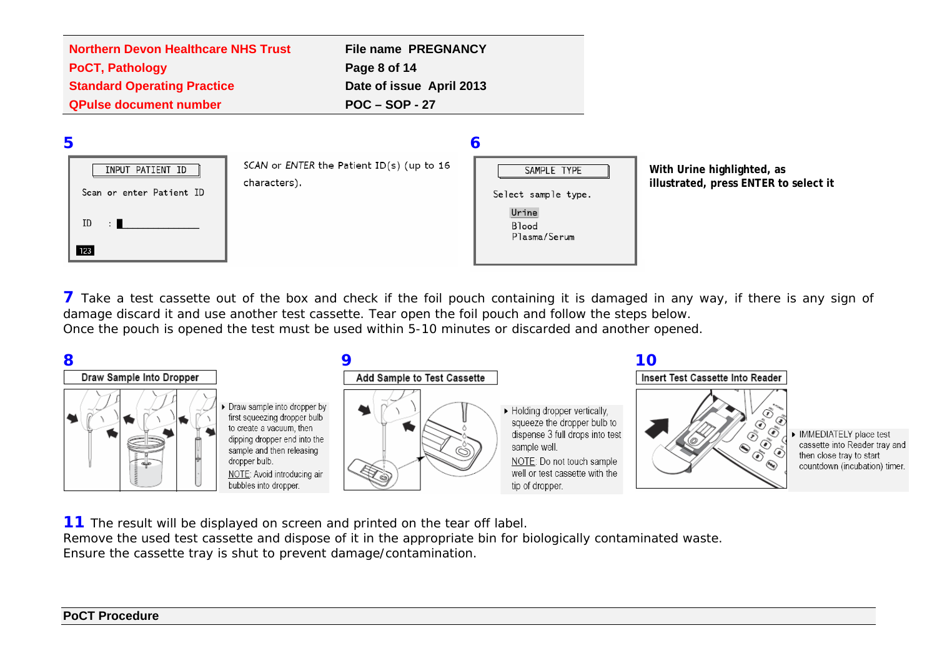| <b>Northern Devon Healthcare NHS Trust</b> | <b>File name PREGNANCY</b> |
|--------------------------------------------|----------------------------|
| <b>PoCT, Pathology</b>                     | Page 8 of 14               |
| <b>Standard Operating Practice</b>         | Date of issue April 2013   |
| <b>QPulse document number</b>              | $POC - SOP - 27$           |
|                                            |                            |



**7** Take a test cassette out of the box and check if the foil pouch containing it is damaged in any way, if there is any sign of damage discard it and use another test cassette. Tear open the foil pouch and follow the steps below. Once the pouch is opened the test must be used within 5-10 minutes or discarded and another opened.



**11** The result will be displayed on screen and printed on the tear off label. Remove the used test cassette and dispose of it in the appropriate bin for biologically contaminated waste. Ensure the cassette tray is shut to prevent damage/contamination.

### **PoCT Procedure**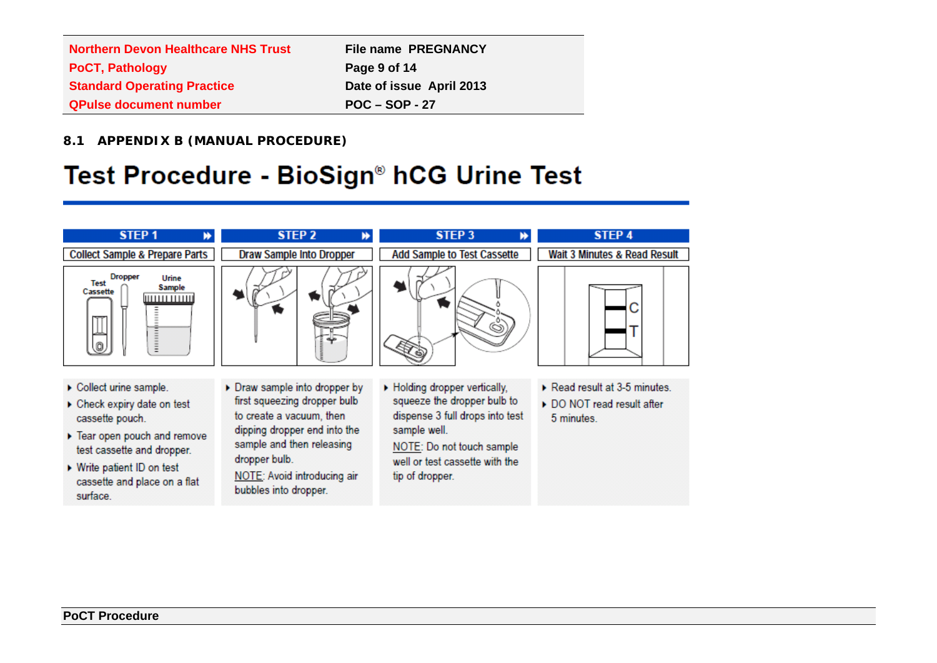| <b>Northern Devon Healthcare NHS Trust</b> | <b>File name PREGNANCY</b> |
|--------------------------------------------|----------------------------|
| <b>PoCT, Pathology</b>                     | Page 9 of 14               |
| <b>Standard Operating Practice</b>         | Date of issue April 2013   |
| <b>QPulse document number</b>              | $POC - SOP - 27$           |

**8.1 APPENDIX B (MANUAL PROCEDURE)**

# Test Procedure - BioSign® hCG Urine Test

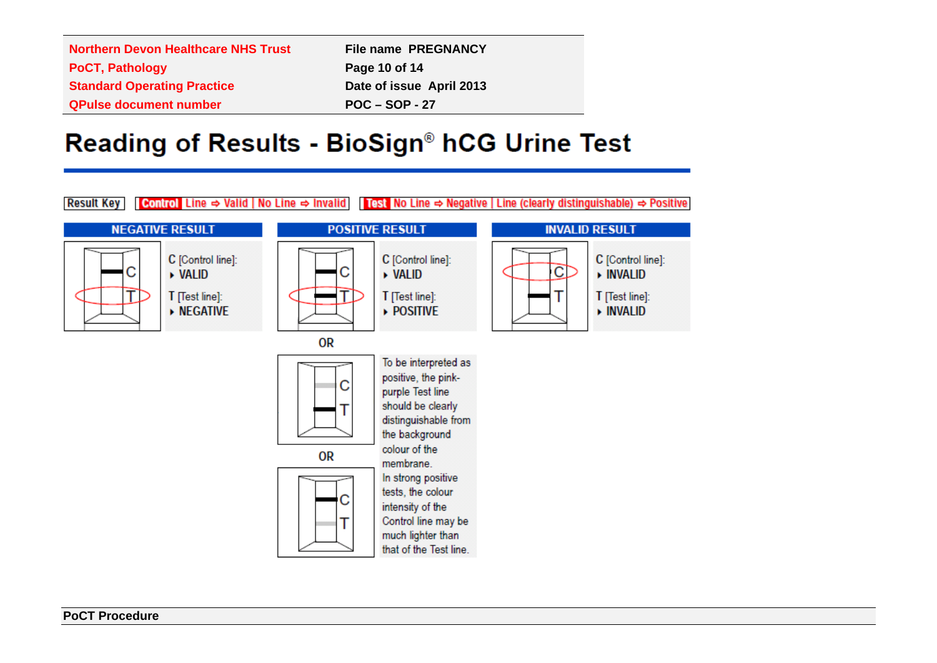| <b>Northern Devon Healthcare NHS Trust</b> | <b>File name PREGNANCY</b> |
|--------------------------------------------|----------------------------|
| <b>PoCT, Pathology</b>                     | Page 10 of 14              |
| <b>Standard Operating Practice</b>         | Date of issue April 2013   |
| <b>QPulse document number</b>              | $POC - SOP - 27$           |

# Reading of Results - BioSign® hCG Urine Test

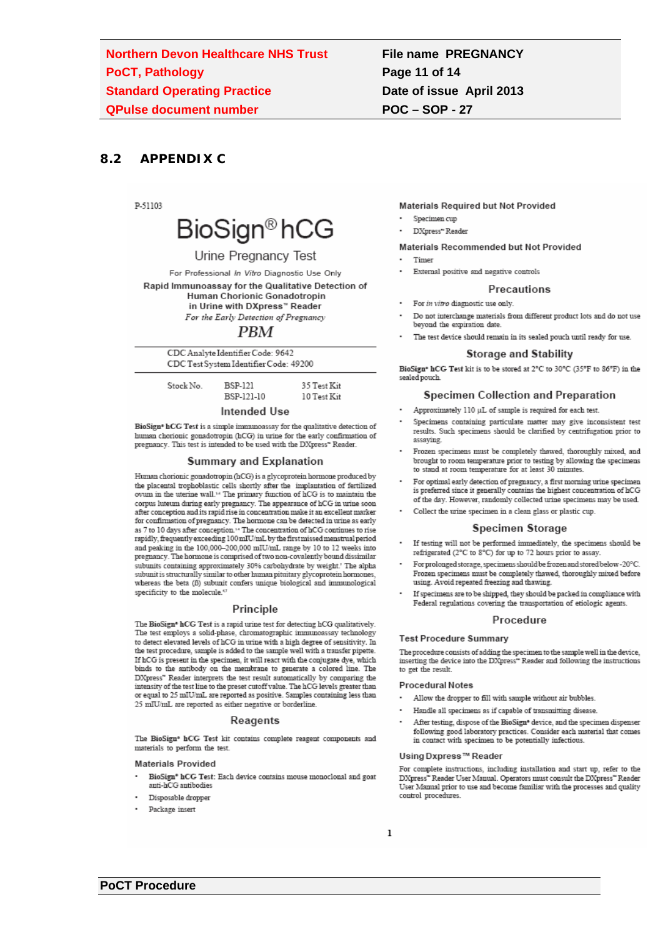# **File name PREGNANCY** Page 11 of 14 Date of issue April 2013 **POC-SOP-27**

#### $8.2$ **APPENDIX C**

**D.51103** 



### Urine Pregnancy Test

For Professional In Vitro Diagnostic Use Only Rapid Immunoassay for the Qualitative Detection of Human Chorionic Gonadotropin in Urine with DXpress" Reader For the Early Detection of Pregnancy

### **PBM**

| CDC Analyte Identifier Code: 9642      |  |
|----------------------------------------|--|
| CDC Test System Identifier Code: 49200 |  |

**BSP-121** 

BSP-121-10

Stock No.

35 Test Kit 10 Test Kit

#### Intended Use

BioSign\* hCG Test is a simple immunoassay for the qualitative detection of burnan chorionic gonadotropin (hCG) in urine for the early confirmation of<br>pregnancy. This test is intended to be used with the DXpress\* Reader.

### **Summary and Explanation**

Human chorionic gonadotropin (hCG) is a glycoprotein hormone produced by change constant produces the placental trophoblastic cells shortly after the implantation of fertilized ovum in the uterine wall.<sup>14</sup> The primary function of hCG is to maintain the corpus luteum during early pregnancy. The appearance of hCG in urine soon after conception and its rapid rise in concentration make it an excellent marker for confirmation of pregnancy. The hormone can be detected in urine as early as 7 to 10 days after conception.<sup>14</sup> The concentration of hCG continues to rise rapidly, frequently exceeding  $100 \,\mathrm{mU/mL}$  by the first missed meastrual period and peaking in the 100,000-200,000 mIU/mL range by 10 to 12 weeks into pregnancy. The hormone is comprised of two non-covalently bound dissimilar subunits containing approximately 30% carbohydrate by weight.' The alpha subunit is structurally similar to other human pituitary glycoprotein hormones, whereas the beta (B) subunit confers unique biological and immunological specificity to the molecule.<sup>6</sup>

### Principle

The BioSign\* hCG Test is a rapid urine test for detecting hCG qualitatively. The test employs a solid-phase, chromatographic immunoassay technology to detect elevated levels of hCG in urine with a high degree of sensitivity. In the test procedure, sample is added to the sample well with a transfer pipette. If hCG is present in the specimen, it will react with the conjugate dye, which binds to the antibody on the membrane to generate a colored line. The DXpress" Reader interprets the test result automatically by comparing the intensity of the test line to the preset cutoff value. The hCG levels greater than or equal to 25 mIU/mL are reported as positive. Samples containing less than 25 mIU/mL are reported as either negative or borderline

### Reagents

The BioSign\* hCG Test kit contains complete reagent components and materials to perform the test.

#### **Materials Provided**

- $\mathbf{BioSign}^{\mathsf{s}}$   $\mathbf{hCG}$  Test: Each device contains mouse monoclonal and goat anti-hCG antibodies
- Disposable dropper
- Package insert

### **Materials Required but Not Provided**

- Specimen cup
- DXpress" Reader

#### Materials Recommended but Not Provided

- Timer
- External positive and negative controls

### Precautions

- · For in vitro diagnostic use only.
- Do not interchange materials from different product lots and do not use beyond the expiration date.
- The test device should remain in its sealed pouch until ready for use.

### **Storage and Stability**

BioSign<sup>®</sup> hCG Test kit is to be stored at 2°C to 30°C (35°F to 86°F) in the sealed pouch

### Specimen Collection and Preparation

- Approximately 110 uL of sample is required for each test
- Specimens containing particulate matter may give inconsistent test results. Such specimens should be clarified by centrifugation prior to assaying.
- Frozen specimens must be completely thawed, thoroughly mixed, and brought to room temperature prior to testing by allowing the specimens to stand at room temperature for at least 30 minutes.
- For optimal early detection of pregnancy, a first morning urine specimen is preferred since it generally contains the highest concentration of hCG of the day. However, randomly collected urine specimens may be used.
- Collect the urine specimen in a clean glass or plastic cup.

### **Specimen Storage**

- If testing will not be performed immediately, the specimens should be refrigerated (2°C to 8°C) for up to 72 hours prior to assay.
- For prolonged storage, specimens should be frozen and stored below -20°C. Frozen specimens must be completely thawed, thoroughly mixed before using. Avoid repeated freezing and thawing.
- If specimens are to be shipped, they should be packed in compliance with Federal regulations covering the transportation of etiologic agents.

#### Procedure

#### **Test Procedure Summary**

The procedure consists of adding the specimen to the sample well in the device, inserting the device into the DXpress\* Reader and following the instructions to get the result.

#### **Procedural Notes**

- Allow the dropper to fill with sample without air bubbles.
- Handle all specimens as if capable of transmitting disease.
- After testing, dispose of the BioSign\* device, and the specimen dispenser following good laboratory practices. Consider each material that comes in contact with specimen to be potentially infectious.

#### Using Dxpress™ Reader

For complete instructions, including installation and start up, refer to the DXpress" Reader User Manual. Operators must consult the DXpress" Reader User Manual prior to use and become familiar with the processes and quality control procedures.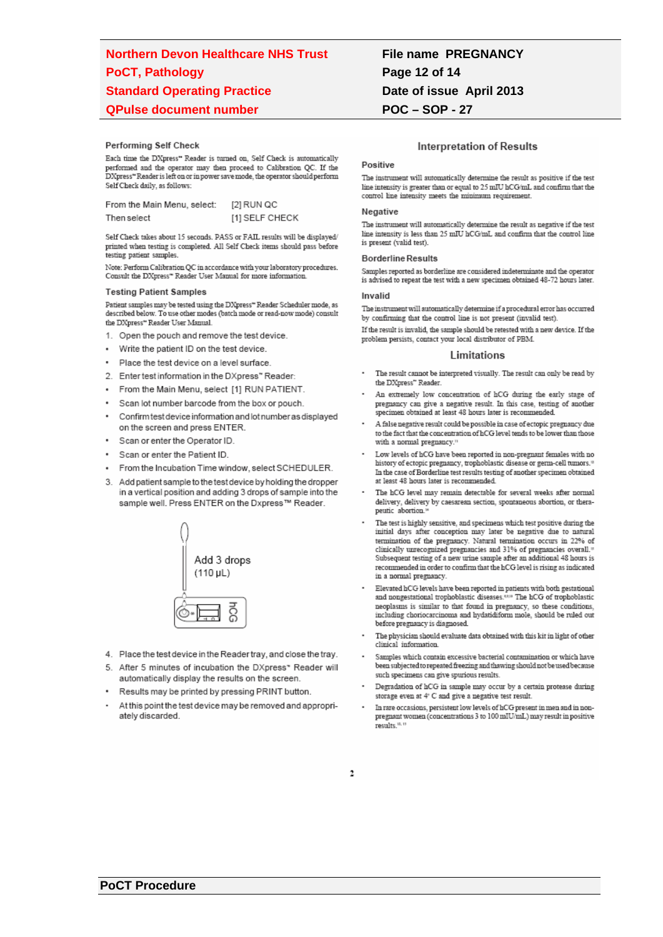# **Northern Devon Healthcare NHS Trust PoCT, Pathology Standard Operating Practice QPulse document number**

### Performing Self Check

Each time the DXpress" Reader is turned on, Self Check is automatically performed and the operator may then proceed to Calibration QC. If the DXpress" Reader is left on or in power save mode, the operator should perform Self Check daily, as follows:

| From the Main Menu, select: | [2] RUN QC     |
|-----------------------------|----------------|
| Then select                 | [1] SELF CHECK |

Self Check takes about 15 seconds. PASS or FAIL results will be displayed/ printed when testing is completed. All Self Check items should pass before testing patient samples

Note: Perform Calibration QC in accordance with your laboratory procedures. Consult the DXpress\* Reader User Manual for more information

#### **Testing Patient Samples**

Patient samples may be tested using the DXpress" Reader Scheduler mode, as described below. To use other modes (batch mode or read-now mode) consult the DXpress" Reader User Manual.

- 1. Open the pouch and remove the test device.
- Write the patient ID on the test device.
- Place the test device on a level surface.
- 2. Enter test information in the DXpress" Reader:
- From the Main Menu, select [1] RUN PATIENT.
- Scan lot number barcode from the box or pouch.
- Confirm test device information and lot number as displayed on the screen and press ENTER.
- Scan or enter the Operator ID
- Scan or enter the Patient ID
- From the Incubation Time window, select SCHEDULER.
- 3. Add patient sample to the test device by holding the dropper in a vertical position and adding 3 drops of sample into the sample well. Press ENTER on the Dxpress™ Reader.



- 4. Place the test device in the Reader tray, and close the tray.
- 5. After 5 minutes of incubation the DXpress\* Reader will automatically display the results on the screen.
- Results may be printed by pressing PRINT button.
- At this point the test device may be removed and appropriately discarded.

# **File name PREGNANCY** Page 12 of 14 Date of issue April 2013 **POC-SOP-27**

### **Interpretation of Results**

### Positive

The instrument will automatically determine the result as positive if the test line intensity is greater than or equal to  $25\,\mathrm{mIU}$  hCG/mL and confirm that the control line intensity meets the minimum requirement.

### Negative

The instrument will automatically determine the result as negative if the test line intensity is less than 25 mIU hCG/mL and confirm that the control line is present (valid test).

#### **Borderline Results**

Samples reported as borderline are considered indeterminate and the operator is advised to repeat the test with a new specimen obtained 48-72 hours later.

### Invalid

The instrument will automatically determine if a procedural error has occurred by confirming that the control line is not present (invalid test)

If the result is invalid, the sample should be retested with a new device. If the problem persists, contact your local distributor of PBM.

#### **Limitations**

- The result cannot be interpreted visually. The result can only be read by the DXpress" Reader.
- An extremely low concentration of hCG during the early stage of pregnancy can give a negative result. In this case, testing of another specimen obtained at least 48 hours later is recommended
- A false negative result could be possible in case of ectopic pregnancy due to the fact that the concentration of hCG level tends to be lower than those with a normal pregnancy.<sup>1</sup>
- Low levels of hCG have been reported in non-pregnant females with no<br>history of ectopic pregnancy, trophoblastic disease or germ-cell tumors." In the case of Borderline test results testing of another specimen obtained at least 48 hours later is recommended.
- The hCG level may remain detectable for several weeks after normal delivery, delivery by caesarean section, spontaneous abortion, or therapeutic abortion.<sup>1</sup>
- The test is highly sensitive, and specimens which test positive during the initial days after conception may later be negative due to natural termination of the pregnancy. Natural termination occurs in 22% of clinically unrecognized pregnancies and 31% of pregnancies overall.<sup>10</sup> Subsequent testing of a new urine sample after an additional 48 hours is recommended in order to confirm that the hCG level is rising as indicated in a normal pregnancy.
- Elevated hCG levels have been reported in patients with both gestational and nongestational trophoblastic diseases.  $^{\rm 0.9}$  The hCG of trophoblastic neoplasms is similar to that found in pregnancy, so these conditions, including choriocarcinoma and hydatidiform mole, should be ruled out before pregnancy is diagnosed.
- The physician should evaluate data obtained with this kit in light of other clinical information.
- Samples which contain excessive bacterial contamination or which have been subjected to repeated freezing and thawing should not be used because such specimens can give spurious results.
- Degradation of hCG in sample may occur by a certain protease during storage even at 4<sup>\*</sup> C and give a negative test result.
- In rare occasions, persistent low levels of hCG present in men and in non-pregnant women (concentrations 3 to  $100 \,\mathrm{mH/min}$ ) may result in positive results.<sup>11, 1</sup>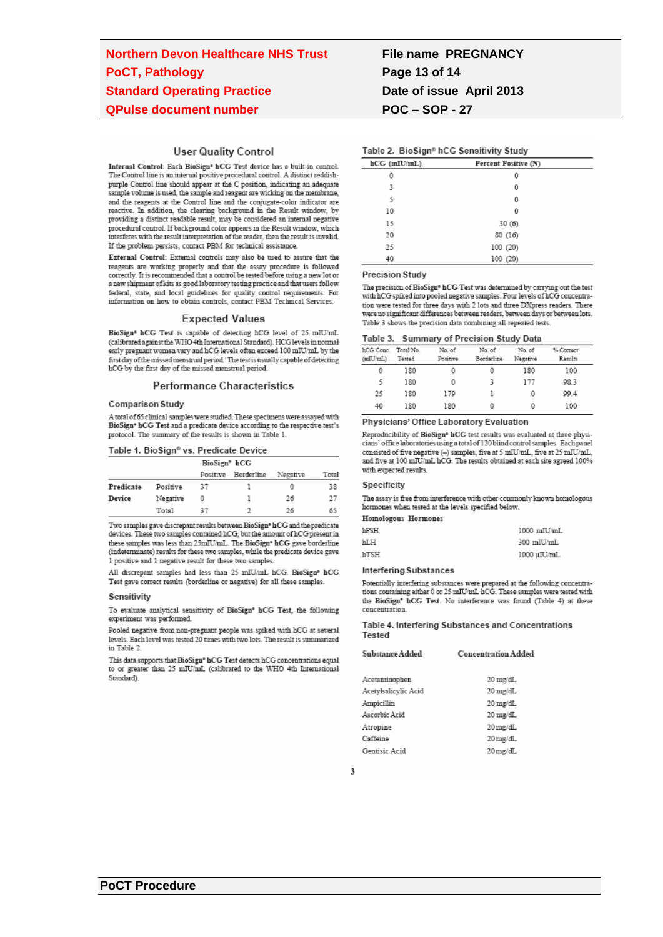### **User Quality Control**

Internal Control: Each BioSign® hCG Test device has a built-in control. The Control line is an internal positive procedural control. A distinct reddishpurple Control line should appear at the C position, indicating an adequate sample volume is used, the sample and reagent are wicking on the membrane, and the reagents at the Control line and the conjugate-color indicator are reactive. In addition, the clearing background in the Result window, by providing a distinct readable result, may be considered an internal negative procedural control. If background color appears in the Result window, which interferes with the result interpretation of the reader, then the result is invalid. If the problem persists, contact PBM for technical assistance.

External Control: External controls may also be used to assure that the reagents are working properly and that the assay procedure is followed correctly. It is recommended that a control be tested before using a new lot or a new shipment of kits as good laboratory testing practice and that users follow federal, state, and local guidelines for quality control requirements. For information on how to obtain controls, contact PBM Technical Services.

### **Expected Values**

BioSign\* hCG Test is capable of detecting hCG level of 25 mIU/mL (calibrated against the WHO 4th International Standard). HCG levels in normal early pregnant women vary and hCG levels often exceed  $100$  mIU/mL by the first day of the missed menstrual period.'The test is usually capable of detecting hCG by the first day of the missed menstrual period.

### **Performance Characteristics**

#### **Comparison Study**

A total of 65 clinical samples were studied. These specimens were assayed with BioSign\* hCG Test and a predicate device according to the respective test's protocol. The summary of the results is shown in Table 1.

#### Table 1. BioSign<sup>®</sup> vs. Predicate Device

| BioSign <sup>®</sup> hCG |          |          |            |          |       |
|--------------------------|----------|----------|------------|----------|-------|
|                          |          | Positive | Borderline | Negative | Total |
| Predicate                | Positive | 37       |            | 0        | 38    |
| Device                   | Negative | 0        |            | 26       | 27    |
|                          | Total    | 37       | o          | 76       | 65    |

Two samples gave discrepant results between BioSign\* hCG and the predicate devices. These two samples contained hCG, but the amount of hCG present in these samples was less than 25mIU/mL. The BioSign<sup>®</sup> hCG gave borderline (indeterminate) results for these two samples, while the predicate device gave 1 positive and 1 negative result for these two samples.

All discrepant samples had less than 25 mIU/mL hCG. BioSign® hCG Test gave correct results (borderline or negative) for all these samples.

#### Sensitivity

To evaluate analytical sensitivity of BioSign® hCG Test, the following experiment was performed.

Pooled negative from non-pregnant people was spiked with hCG at several levels. Each level was tested 20 times with two lots. The result is summarized in Table 2.

This data supports that BioSign\* hCG Test detects hCG concentrations equal to or greater than 25 mIU/mL (calibrated to the WHO 4th International Standard).

# **File name PREGNANCY** Page 13 of 14 Date of issue April 2013 **POC-SOP-27**

### Table 2. BioSign® hCG Sensitivity Study

| $hCG$ (mIU/mL) | Percent Positive (N) |  |
|----------------|----------------------|--|
| 0              | 0                    |  |
| 3              | 0                    |  |
| 5              | 0                    |  |
| 10             | 0                    |  |
| 15             | 30(6)                |  |
| 20             | 80(16)               |  |
| 25             | 100 (20)             |  |
| 40             | 100 (20)             |  |

#### **Precision Study**

The precision of BioSign® hCG Test was determined by carrying out the test with hCG spiked into pooled negative samples. Four levels of hCG concentration were tested for three days with 2 lots and three DXpress readers. There were no significant differences between readers, between days or between lots. Table 3 shows the precision data combining all repeated tests.

#### Table 3. Summary of Precision Study Data

| hCG Conc. | Total No. | No. of   | No. of     | No. of   | % Correct |  |
|-----------|-----------|----------|------------|----------|-----------|--|
| (mIU/mL)  | Tested    | Positive | Borderline | Negative | Results   |  |
| 0         | 180       | 0        | 0          | 180      | 100       |  |
| 5         | 180       | 0        |            | 177      | 98.3      |  |
| 25        | 180       | 179      |            | 0        | 99.4      |  |
| 40        | 180       | 180      | 0          | 0        | 100       |  |

#### Physicians' Office Laboratory Evaluation

Reproducibility of BioSign® hCG test results was evaluated at three physicians' office laboratories using a total of 120 blind control samples. Each panel consisted of five negative (-) samples, five at 5 mIU/mL, five at 25 mIU/mL, and five at 100 mIU/mL hCG. The results obtained at each site agreed 100% with expected results.

### Specificity

The assay is free from interference with other commonly known homologous hormones when tested at the levels specified below.

### Homologous Hormones

| hFSH | 1000 mIU/mL |
|------|-------------|
| hLH  | 300 mIU/mL  |
| hTSH | 1000 uIU/mL |

#### **Interfering Substances**

Potentially interfering substances were prepared at the following concentrations containing either 0 or 25 mIU/mL hCG. These samples were tested with the BioSign\* hCG Test. No interference was found (Table 4) at these concentration

Table 4. Interfering Substances and Concentrations Tested

| Substance Added      | <b>Concentration Added</b> |  |
|----------------------|----------------------------|--|
| Acetaminophen        | 20 mg/dL                   |  |
| Acetylsalicylic Acid | 20 mg/dL                   |  |
| Ampicillin           | 20 mg/dL                   |  |
| Ascorbic Acid        | 20 mg/dL                   |  |
| Atropine             | $20 \,\mathrm{mg/dL}$      |  |
| Caffeine             | $20 \,\mathrm{mg/dL}$      |  |
| Gentisic Acid        | $20$ mg/dL                 |  |